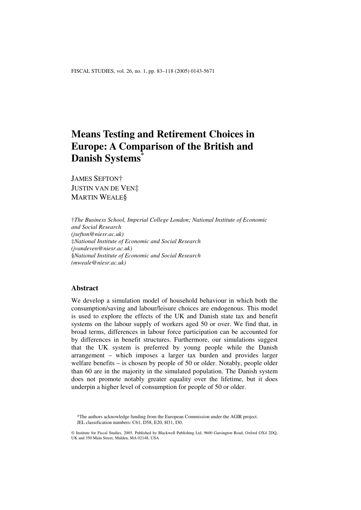# **Means Testing and Retirement Choices in Europe: A Comparison of the British and Danish Systems**\*

JAMES SEFTON† JUSTIN VAN DE VEN‡ MARTIN WEALE§

†*The Business School, Imperial College London; National Institute of Economic and Social Research (jsefton@niesr.ac.uk)*  ‡*National Institute of Economic and Social Research (jvandeven@niesr.ac.uk)*  §*National Institute of Economic and Social Research (mweale@niesr.ac.uk)* 

# **Abstract**

We develop a simulation model of household behaviour in which both the consumption/saving and labour/leisure choices are endogenous. This model is used to explore the effects of the UK and Danish state tax and benefit systems on the labour supply of workers aged 50 or over. We find that, in broad terms, differences in labour force participation can be accounted for by differences in benefit structures. Furthermore, our simulations suggest that the UK system is preferred by young people while the Danish arrangement – which imposes a larger tax burden and provides larger welfare benefits – is chosen by people of 50 or older. Notably, people older than 60 are in the majority in the simulated population. The Danish system does not promote notably greater equality over the lifetime, but it does underpin a higher level of consumption for people of 50 or older.

<sup>\*</sup>The authors acknowledge funding from the European Commission under the AGIR project. JEL classification numbers: C61, D58, E20, H31, I30.

<sup>©</sup> Institute for Fiscal Studies, 2005. Published by Blackwell Publishing Ltd, 9600 Garsington Road, Oxford OX4 2DQ, UK and 350 Main Street, Malden, MA 02148, USA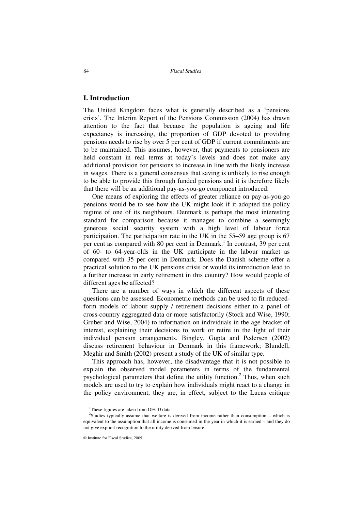# **I. Introduction**

The United Kingdom faces what is generally described as a 'pensions crisis'. The Interim Report of the Pensions Commission (2004) has drawn attention to the fact that because the population is ageing and life expectancy is increasing, the proportion of GDP devoted to providing pensions needs to rise by over 5 per cent of GDP if current commitments are to be maintained. This assumes, however, that payments to pensioners are held constant in real terms at today's levels and does not make any additional provision for pensions to increase in line with the likely increase in wages. There is a general consensus that saving is unlikely to rise enough to be able to provide this through funded pensions and it is therefore likely that there will be an additional pay-as-you-go component introduced.

One means of exploring the effects of greater reliance on pay-as-you-go pensions would be to see how the UK might look if it adopted the policy regime of one of its neighbours. Denmark is perhaps the most interesting standard for comparison because it manages to combine a seemingly generous social security system with a high level of labour force participation. The participation rate in the UK in the 55–59 age group is 67 per cent as compared with 80 per cent in Denmark.<sup>1</sup> In contrast, 39 per cent of 60- to 64-year-olds in the UK participate in the labour market as compared with 35 per cent in Denmark. Does the Danish scheme offer a practical solution to the UK pensions crisis or would its introduction lead to a further increase in early retirement in this country? How would people of different ages be affected?

There are a number of ways in which the different aspects of these questions can be assessed. Econometric methods can be used to fit reducedform models of labour supply / retirement decisions either to a panel of cross-country aggregated data or more satisfactorily (Stock and Wise, 1990; Gruber and Wise, 2004) to information on individuals in the age bracket of interest, explaining their decisions to work or retire in the light of their individual pension arrangements. Bingley, Gupta and Pedersen (2002) discuss retirement behaviour in Denmark in this framework; Blundell, Meghir and Smith (2002) present a study of the UK of similar type.

This approach has, however, the disadvantage that it is not possible to explain the observed model parameters in terms of the fundamental psychological parameters that define the utility function.<sup>2</sup> Thus, when such models are used to try to explain how individuals might react to a change in the policy environment, they are, in effect, subject to the Lucas critique

<sup>&</sup>lt;sup>1</sup>These figures are taken from OECD data.

<sup>&</sup>lt;sup>2</sup>Studies typically assume that welfare is derived from income rather than consumption – which is equivalent to the assumption that all income is consumed in the year in which it is earned – and they do not give explicit recognition to the utility derived from leisure.

<sup>©</sup> Institute for Fiscal Studies, 2005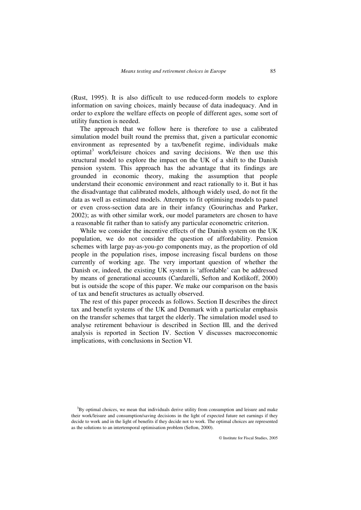(Rust, 1995). It is also difficult to use reduced-form models to explore information on saving choices, mainly because of data inadequacy. And in order to explore the welfare effects on people of different ages, some sort of utility function is needed.

The approach that we follow here is therefore to use a calibrated simulation model built round the premiss that, given a particular economic environment as represented by a tax/benefit regime, individuals make optimal<sup>3</sup> work/leisure choices and saving decisions. We then use this structural model to explore the impact on the UK of a shift to the Danish pension system. This approach has the advantage that its findings are grounded in economic theory, making the assumption that people understand their economic environment and react rationally to it. But it has the disadvantage that calibrated models, although widely used, do not fit the data as well as estimated models. Attempts to fit optimising models to panel or even cross-section data are in their infancy (Gourinchas and Parker, 2002); as with other similar work, our model parameters are chosen to have a reasonable fit rather than to satisfy any particular econometric criterion.

While we consider the incentive effects of the Danish system on the UK population, we do not consider the question of affordability. Pension schemes with large pay-as-you-go components may, as the proportion of old people in the population rises, impose increasing fiscal burdens on those currently of working age. The very important question of whether the Danish or, indeed, the existing UK system is 'affordable' can be addressed by means of generational accounts (Cardarelli, Sefton and Kotlikoff, 2000) but is outside the scope of this paper. We make our comparison on the basis of tax and benefit structures as actually observed.

The rest of this paper proceeds as follows. Section II describes the direct tax and benefit systems of the UK and Denmark with a particular emphasis on the transfer schemes that target the elderly. The simulation model used to analyse retirement behaviour is described in Section III, and the derived analysis is reported in Section IV. Section V discusses macroeconomic implications, with conclusions in Section VI.

 $3By$  optimal choices, we mean that individuals derive utility from consumption and leisure and make their work/leisure and consumption/saving decisions in the light of expected future net earnings if they decide to work and in the light of benefits if they decide not to work. The optimal choices are represented as the solutions to an intertemporal optimisation problem (Sefton, 2000).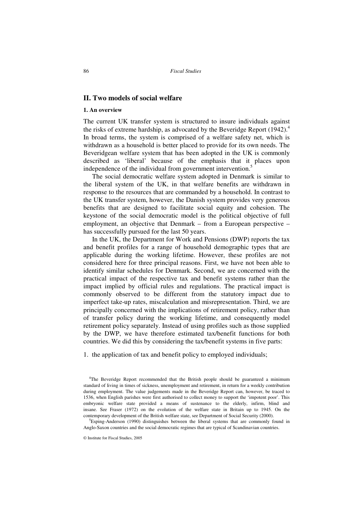# **II. Two models of social welfare**

## **1. An overview**

The current UK transfer system is structured to insure individuals against the risks of extreme hardship, as advocated by the Beveridge Report  $(1942)$ .<sup>4</sup> In broad terms, the system is comprised of a welfare safety net, which is withdrawn as a household is better placed to provide for its own needs. The Beveridgean welfare system that has been adopted in the UK is commonly described as 'liberal' because of the emphasis that it places upon independence of the individual from government intervention.<sup>5</sup>

The social democratic welfare system adopted in Denmark is similar to the liberal system of the UK, in that welfare benefits are withdrawn in response to the resources that are commanded by a household. In contrast to the UK transfer system, however, the Danish system provides very generous benefits that are designed to facilitate social equity and cohesion. The keystone of the social democratic model is the political objective of full employment, an objective that Denmark – from a European perspective – has successfully pursued for the last 50 years.

In the UK, the Department for Work and Pensions (DWP) reports the tax and benefit profiles for a range of household demographic types that are applicable during the working lifetime. However, these profiles are not considered here for three principal reasons. First, we have not been able to identify similar schedules for Denmark. Second, we are concerned with the practical impact of the respective tax and benefit systems rather than the impact implied by official rules and regulations. The practical impact is commonly observed to be different from the statutory impact due to imperfect take-up rates, miscalculation and misrepresentation. Third, we are principally concerned with the implications of retirement policy, rather than of transfer policy during the working lifetime, and consequently model retirement policy separately. Instead of using profiles such as those supplied by the DWP, we have therefore estimated tax/benefit functions for both countries. We did this by considering the tax/benefit systems in five parts:

## 1. the application of tax and benefit policy to employed individuals;

<sup>5</sup>Esping-Anderson (1990) distinguishes between the liberal systems that are commonly found in Anglo-Saxon countries and the social democratic regimes that are typical of Scandinavian countries.

<sup>&</sup>lt;sup>4</sup>The Beveridge Report recommended that the British people should be guaranteed a minimum standard of living in times of sickness, unemployment and retirement, in return for a weekly contribution during employment. The value judgements made in the Beveridge Report can, however, be traced to 1536, when English parishes were first authorised to collect money to support the 'impotent poor'. This embryonic welfare state provided a means of sustenance to the elderly, infirm, blind and insane. See Fraser (1972) on the evolution of the welfare state in Britain up to 1945. On the contemporary development of the British welfare state, see Department of Social Security (2000).

<sup>©</sup> Institute for Fiscal Studies, 2005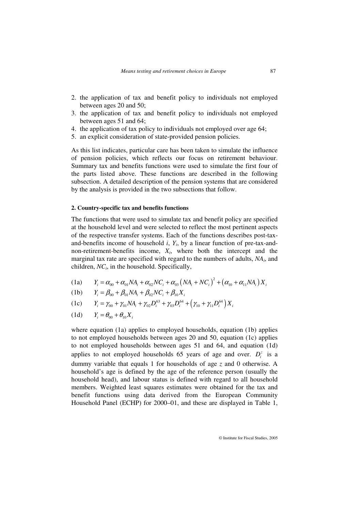- 2. the application of tax and benefit policy to individuals not employed between ages 20 and 50;
- 3. the application of tax and benefit policy to individuals not employed between ages 51 and 64;
- 4. the application of tax policy to individuals not employed over age 64;
- 5. an explicit consideration of state-provided pension policies.

As this list indicates, particular care has been taken to simulate the influence of pension policies, which reflects our focus on retirement behaviour. Summary tax and benefits functions were used to simulate the first four of the parts listed above. These functions are described in the following subsection. A detailed description of the pension systems that are considered by the analysis is provided in the two subsections that follow.

## **2. Country-specific tax and benefits functions**

The functions that were used to simulate tax and benefit policy are specified at the household level and were selected to reflect the most pertinent aspects of the respective transfer systems. Each of the functions describes post-taxand-benefits income of household  $i$ ,  $Y_i$ , by a linear function of pre-tax-andnon-retirement-benefits income,  $X_i$ , where both the intercept and the marginal tax rate are specified with regard to the numbers of adults, *NAi*, and children, *NCi*, in the household. Specifically,

(1a)  $Y_i = \alpha_{00} + \alpha_{01} N A_i + \alpha_{02} N C_i + \alpha_{03} (N A_i + N C_i)^2 + (\alpha_{10} + \alpha_{11} N A_i) X_i$ 

(1b) 
$$
Y_i = \beta_{00} + \beta_{01} N A_i + \beta_{02} N C_i + \beta_{10} X_i
$$

(1c) 
$$
Y_i = \gamma_{00} + \gamma_{01} N A_i + \gamma_{02} D_i^{63} + \gamma_{03} D_i^{64} + (\gamma_{10} + \gamma_{11} D_i^{64}) X_i
$$

$$
(1d) \t Y_i = \theta_{00} + \theta_{10} X_i
$$

where equation (1a) applies to employed households, equation (1b) applies to not employed households between ages 20 and 50, equation (1c) applies to not employed households between ages 51 and 64, and equation (1d) applies to not employed households 65 years of age and over.  $D_i^z$  is a dummy variable that equals 1 for households of age *z* and 0 otherwise. A household's age is defined by the age of the reference person (usually the household head), and labour status is defined with regard to all household members. Weighted least squares estimates were obtained for the tax and benefit functions using data derived from the European Community Household Panel (ECHP) for 2000–01, and these are displayed in Table 1,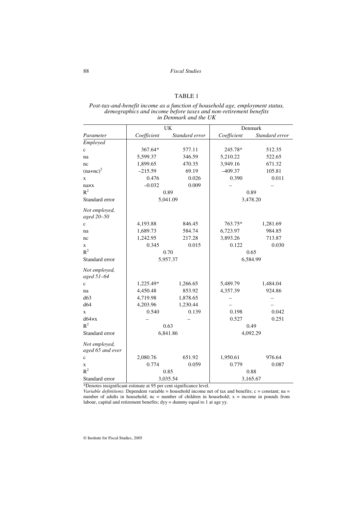## 88 *Fiscal Studies*

## TABLE 1

*Post-tax-and-benefit income as a function of household age, employment status, demographics and income before taxes and non-retirement benefits in Denmark and the UK* 

|                                   | <b>UK</b>   |                | Denmark     |                |  |  |
|-----------------------------------|-------------|----------------|-------------|----------------|--|--|
| Parameter                         | Coefficient | Standard error | Coefficient | Standard error |  |  |
| Employed                          |             |                |             |                |  |  |
| $\mathbf c$                       | 367.64*     | 577.11         | 245.78*     | 512.35         |  |  |
| na                                | 5,599.37    | 346.59         | 5,210.22    | 522.65         |  |  |
| nc                                | 1,899.65    | 470.35         | 3,949.16    | 671.32         |  |  |
| $(na+nc)^2$                       | $-215.59$   | 69.19          | $-409.37$   | 105.81         |  |  |
| $\mathbf{x}$                      | 0.476       | 0.026          | 0.390       | 0.011          |  |  |
| naxx                              | $-0.032$    | 0.009          |             |                |  |  |
| $R^2$                             |             | 0.89           | 0.89        |                |  |  |
| Standard error                    | 5,041.09    |                | 3,478.20    |                |  |  |
| Not employed,<br>aged 20-50       |             |                |             |                |  |  |
| $\mathbf c$                       | 4,193.88    | 846.45         | 763.75*     | 1,281.69       |  |  |
| na                                | 1,689.73    | 584.74         | 6,723.97    | 984.85         |  |  |
| nc                                | 1,242.95    | 217.28         | 3,893.26    | 713.87         |  |  |
| X                                 | 0.345       | 0.015          | 0.122       | 0.030          |  |  |
| $R^2$                             |             | 0.70           |             | 0.65           |  |  |
| Standard error                    |             | 5,957.37       |             | 6,584.99       |  |  |
| Not employed,<br>aged 51-64       |             |                |             |                |  |  |
| $\mathbf c$                       | 1,225.49*   | 1,266.65       | 5,489.79    | 1,484.04       |  |  |
| na                                | 4,450.48    | 853.92         | 4,357.39    | 924.86         |  |  |
| d63                               | 4,719.98    | 1,878.65       |             |                |  |  |
| d64                               | 4,203.96    | 1,230.44       |             |                |  |  |
| X                                 | 0.540       | 0.139          | 0.198       | 0.042          |  |  |
| d64xx                             |             |                | 0.527       | 0.251          |  |  |
| $R^2$                             |             | 0.63           | 0.49        |                |  |  |
| Standard error                    | 6,841.86    |                | 4,092.29    |                |  |  |
| Not employed,<br>aged 65 and over |             |                |             |                |  |  |
| $\mathbf c$                       | 2,080.76    | 651.92         | 1,950.61    | 976.64         |  |  |
| X                                 | 0.774       | 0.059          | 0.779       | 0.087          |  |  |
| $R^2$                             | 0.85        |                | 0.88        |                |  |  |
| Standard error                    | 3,035.54    |                | 3,165.67    |                |  |  |

\*Denotes insignificant estimate at 95 per cent significance level.

*Variable definitions:* Dependent variable = household income net of tax and benefits; c = constant; na = number of adults in household;  $nc = number of children in household; x = income in pounds from$ labour, capital and retirement benefits; dyy = dummy equal to 1 at age yy.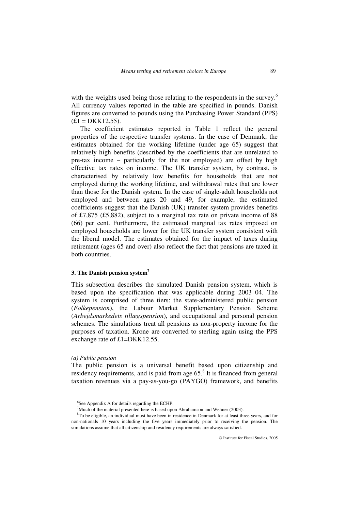with the weights used being those relating to the respondents in the survey.<sup>6</sup> All currency values reported in the table are specified in pounds. Danish figures are converted to pounds using the Purchasing Power Standard (PPS)  $(E1 = DKK12.55)$ .

The coefficient estimates reported in Table 1 reflect the general properties of the respective transfer systems. In the case of Denmark, the estimates obtained for the working lifetime (under age 65) suggest that relatively high benefits (described by the coefficients that are unrelated to pre-tax income – particularly for the not employed) are offset by high effective tax rates on income. The UK transfer system, by contrast, is characterised by relatively low benefits for households that are not employed during the working lifetime, and withdrawal rates that are lower than those for the Danish system. In the case of single-adult households not employed and between ages 20 and 49, for example, the estimated coefficients suggest that the Danish (UK) transfer system provides benefits of £7,875 (£5,882), subject to a marginal tax rate on private income of 88 (66) per cent. Furthermore, the estimated marginal tax rates imposed on employed households are lower for the UK transfer system consistent with the liberal model. The estimates obtained for the impact of taxes during retirement (ages 65 and over) also reflect the fact that pensions are taxed in both countries.

## **3. The Danish pension system7**

This subsection describes the simulated Danish pension system, which is based upon the specification that was applicable during 2003–04. The system is comprised of three tiers: the state-administered public pension (*Folkepension*), the Labour Market Supplementary Pension Scheme (*Arbejdsmarkedets tillægspension*), and occupational and personal pension schemes. The simulations treat all pensions as non-property income for the purposes of taxation. Krone are converted to sterling again using the PPS exchange rate of £1=DKK12.55.

### *(a) Public pension*

The public pension is a universal benefit based upon citizenship and residency requirements, and is paid from age  $65$ .<sup>8</sup> It is financed from general taxation revenues via a pay-as-you-go (PAYGO) framework, and benefits

<sup>6</sup> See Appendix A for details regarding the ECHP.

<sup>&</sup>lt;sup>7</sup>Much of the material presented here is based upon Abrahamson and Wehner (2003).

<sup>&</sup>lt;sup>8</sup>To be eligible, an individual must have been in residence in Denmark for at least three years, and for non-nationals 10 years including the five years immediately prior to receiving the pension. The simulations assume that all citizenship and residency requirements are always satisfied.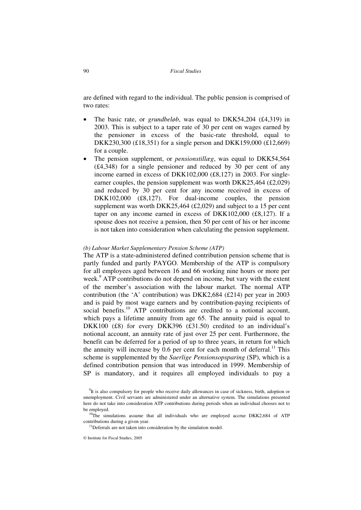are defined with regard to the individual. The public pension is comprised of two rates:

- The basic rate, or *grundbeløb*, was equal to DKK54,204 (£4,319) in 2003. This is subject to a taper rate of 30 per cent on wages earned by the pensioner in excess of the basic-rate threshold, equal to DKK230,300 (£18,351) for a single person and DKK159,000 (£12,669) for a couple.
- The pension supplement, or *pensionstillæg*, was equal to DKK54,564 (£4,348) for a single pensioner and reduced by 30 per cent of any income earned in excess of DKK102,000 (£8,127) in 2003. For singleearner couples, the pension supplement was worth DKK25,464 (£2,029) and reduced by 30 per cent for any income received in excess of DKK102,000 (£8,127). For dual-income couples, the pension supplement was worth DKK25,464 (£2,029) and subject to a 15 per cent taper on any income earned in excess of DKK102,000 (£8,127). If a spouse does not receive a pension, then 50 per cent of his or her income is not taken into consideration when calculating the pension supplement.

## *(b) Labour Market Supplementary Pension Scheme (ATP)*

The ATP is a state-administered defined contribution pension scheme that is partly funded and partly PAYGO. Membership of the ATP is compulsory for all employees aged between 16 and 66 working nine hours or more per week.<sup>9</sup> ATP contributions do not depend on income, but vary with the extent of the member's association with the labour market. The normal ATP contribution (the 'A' contribution) was DKK2,684 (£214) per year in 2003 and is paid by most wage earners and by contribution-paying recipients of social benefits.<sup>10</sup> ATP contributions are credited to a notional account, which pays a lifetime annuity from age 65. The annuity paid is equal to DKK100 (£8) for every DKK396 (£31.50) credited to an individual's notional account, an annuity rate of just over 25 per cent. Furthermore, the benefit can be deferred for a period of up to three years, in return for which the annuity will increase by 0.6 per cent for each month of deferral.<sup>11</sup> This scheme is supplemented by the *Saerlige Pensionsopsparing* (SP), which is a defined contribution pension that was introduced in 1999. Membership of SP is mandatory, and it requires all employed individuals to pay a

<sup>&</sup>lt;sup>9</sup>It is also compulsory for people who receive daily allowances in case of sickness, birth, adoption or unemployment. Civil servants are administered under an alternative system. The simulations presented here do not take into consideration ATP contributions during periods when an individual chooses not to

be employed.<br><sup>10</sup>The simulations assume that all individuals who are employed accrue DKK2,684 of ATP contributions during a given year.<br><sup>11</sup>Deferrals are not taken into consideration by the simulation model.

<sup>©</sup> Institute for Fiscal Studies, 2005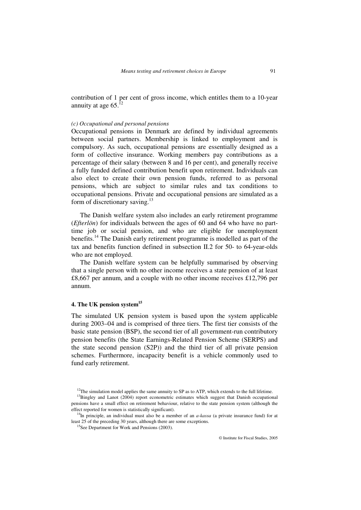contribution of 1 per cent of gross income, which entitles them to a 10-year annuity at age  $65$ .<sup>12</sup>

## *(c) Occupational and personal pensions*

Occupational pensions in Denmark are defined by individual agreements between social partners. Membership is linked to employment and is compulsory. As such, occupational pensions are essentially designed as a form of collective insurance. Working members pay contributions as a percentage of their salary (between 8 and 16 per cent), and generally receive a fully funded defined contribution benefit upon retirement. Individuals can also elect to create their own pension funds, referred to as personal pensions, which are subject to similar rules and tax conditions to occupational pensions. Private and occupational pensions are simulated as a form of discretionary saving.<sup>13</sup>

The Danish welfare system also includes an early retirement programme (*Efterlön*) for individuals between the ages of 60 and 64 who have no parttime job or social pension, and who are eligible for unemployment benefits.14 The Danish early retirement programme is modelled as part of the tax and benefits function defined in subsection II.2 for 50- to 64-year-olds who are not employed.

The Danish welfare system can be helpfully summarised by observing that a single person with no other income receives a state pension of at least £8,667 per annum, and a couple with no other income receives £12,796 per annum.

## **4. The UK pension system15**

The simulated UK pension system is based upon the system applicable during 2003–04 and is comprised of three tiers. The first tier consists of the basic state pension (BSP), the second tier of all government-run contributory pension benefits (the State Earnings-Related Pension Scheme (SERPS) and the state second pension (S2P)) and the third tier of all private pension schemes. Furthermore, incapacity benefit is a vehicle commonly used to fund early retirement.

 $12$ The simulation model applies the same annuity to SP as to ATP, which extends to the full lifetime.

<sup>&</sup>lt;sup>13</sup>Bingley and Lanot (2004) report econometric estimates which suggest that Danish occupational pensions have a small effect on retirement behaviour, relative to the state pension system (although the effect reported for women is statistically significant). 14In principle, an individual must also be a member of an *a-kassa* (a private insurance fund) for at

least 25 of the preceding 30 years, although there are some exceptions. 15See Department for Work and Pensions (2003).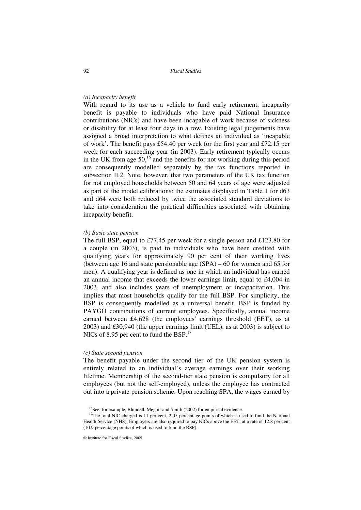#### *(a) Incapacity benefit*

With regard to its use as a vehicle to fund early retirement, incapacity benefit is payable to individuals who have paid National Insurance contributions (NICs) and have been incapable of work because of sickness or disability for at least four days in a row. Existing legal judgements have assigned a broad interpretation to what defines an individual as 'incapable of work'. The benefit pays £54.40 per week for the first year and £72.15 per week for each succeeding year (in 2003). Early retirement typically occurs in the UK from age  $50<sup>16</sup>$  and the benefits for not working during this period are consequently modelled separately by the tax functions reported in subsection II.2. Note, however, that two parameters of the UK tax function for not employed households between 50 and 64 years of age were adjusted as part of the model calibrations: the estimates displayed in Table 1 for d63 and d64 were both reduced by twice the associated standard deviations to take into consideration the practical difficulties associated with obtaining incapacity benefit.

## *(b) Basic state pension*

The full BSP, equal to £77.45 per week for a single person and £123.80 for a couple (in 2003), is paid to individuals who have been credited with qualifying years for approximately 90 per cent of their working lives (between age 16 and state pensionable age (SPA) – 60 for women and 65 for men). A qualifying year is defined as one in which an individual has earned an annual income that exceeds the lower earnings limit, equal to £4,004 in 2003, and also includes years of unemployment or incapacitation. This implies that most households qualify for the full BSP. For simplicity, the BSP is consequently modelled as a universal benefit. BSP is funded by PAYGO contributions of current employees. Specifically, annual income earned between £4,628 (the employees' earnings threshold (EET), as at 2003) and £30,940 (the upper earnings limit (UEL), as at 2003) is subject to NICs of 8.95 per cent to fund the BSP.<sup>17</sup>

#### *(c) State second pension*

The benefit payable under the second tier of the UK pension system is entirely related to an individual's average earnings over their working lifetime. Membership of the second-tier state pension is compulsory for all employees (but not the self-employed), unless the employee has contracted out into a private pension scheme. Upon reaching SPA, the wages earned by

<sup>&</sup>lt;sup>16</sup>See, for example, Blundell, Meghir and Smith (2002) for empirical evidence.

<sup>&</sup>lt;sup>17</sup>The total NIC charged is 11 per cent, 2.05 percentage points of which is used to fund the National Health Service (NHS). Employers are also required to pay NICs above the EET, at a rate of 12.8 per cent (10.9 percentage points of which is used to fund the BSP).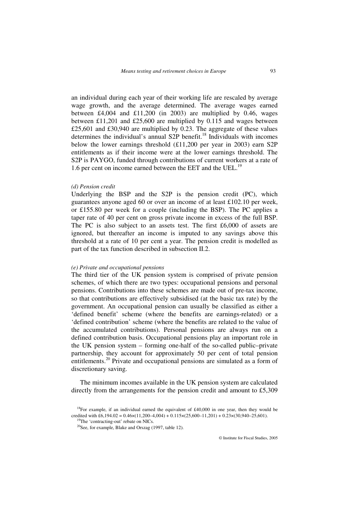an individual during each year of their working life are rescaled by average wage growth, and the average determined. The average wages earned between £4,004 and £11,200 (in 2003) are multiplied by 0.46, wages between £11,201 and £25,600 are multiplied by 0.115 and wages between £25,601 and £30,940 are multiplied by 0.23. The aggregate of these values determines the individual's annual S2P benefit.<sup>18</sup> Individuals with incomes below the lower earnings threshold (£11,200 per year in 2003) earn S2P entitlements as if their income were at the lower earnings threshold. The S2P is PAYGO, funded through contributions of current workers at a rate of 1.6 per cent on income earned between the EET and the UEL.<sup>19</sup>

#### *(d) Pension credit*

Underlying the BSP and the S2P is the pension credit (PC), which guarantees anyone aged 60 or over an income of at least £102.10 per week, or £155.80 per week for a couple (including the BSP). The PC applies a taper rate of 40 per cent on gross private income in excess of the full BSP. The PC is also subject to an assets test. The first £6,000 of assets are ignored, but thereafter an income is imputed to any savings above this threshold at a rate of 10 per cent a year. The pension credit is modelled as part of the tax function described in subsection II.2.

## *(e) Private and occupational pensions*

The third tier of the UK pension system is comprised of private pension schemes, of which there are two types: occupational pensions and personal pensions. Contributions into these schemes are made out of pre-tax income, so that contributions are effectively subsidised (at the basic tax rate) by the government. An occupational pension can usually be classified as either a 'defined benefit' scheme (where the benefits are earnings-related) or a 'defined contribution' scheme (where the benefits are related to the value of the accumulated contributions). Personal pensions are always run on a defined contribution basis. Occupational pensions play an important role in the UK pension system – forming one-half of the so-called public–private partnership, they account for approximately 50 per cent of total pension entitlements.<sup>20</sup> Private and occupational pensions are simulated as a form of discretionary saving.

The minimum incomes available in the UK pension system are calculated directly from the arrangements for the pension credit and amount to £5,309

<sup>&</sup>lt;sup>18</sup>For example, if an individual earned the equivalent of  $£40,000$  in one year, then they would be credited with £6,194.02 = 0.46×(11,200–4,004) + 0.115×(25,600–11,201) + 0.23×(30,940–25,601).<br><sup>19</sup>The 'contracting-out' rebate on NICs.

<sup>20</sup>See, for example, Blake and Orszag (1997, table 12).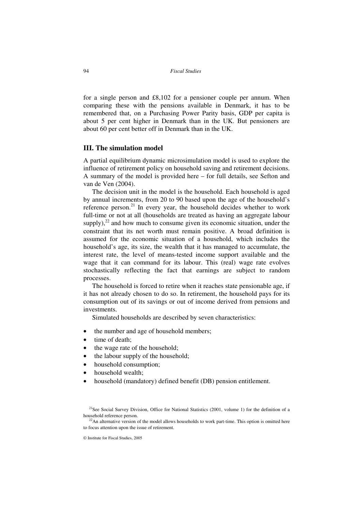for a single person and £8,102 for a pensioner couple per annum. When comparing these with the pensions available in Denmark, it has to be remembered that, on a Purchasing Power Parity basis, GDP per capita is about 5 per cent higher in Denmark than in the UK. But pensioners are about 60 per cent better off in Denmark than in the UK.

# **III. The simulation model**

A partial equilibrium dynamic microsimulation model is used to explore the influence of retirement policy on household saving and retirement decisions. A summary of the model is provided here – for full details, see Sefton and van de Ven (2004).

The decision unit in the model is the household. Each household is aged by annual increments, from 20 to 90 based upon the age of the household's reference person.<sup>21</sup> In every year, the household decides whether to work full-time or not at all (households are treated as having an aggregate labour supply), $^{22}$  and how much to consume given its economic situation, under the constraint that its net worth must remain positive. A broad definition is assumed for the economic situation of a household, which includes the household's age, its size, the wealth that it has managed to accumulate, the interest rate, the level of means-tested income support available and the wage that it can command for its labour. This (real) wage rate evolves stochastically reflecting the fact that earnings are subject to random processes.

The household is forced to retire when it reaches state pensionable age, if it has not already chosen to do so. In retirement, the household pays for its consumption out of its savings or out of income derived from pensions and investments.

Simulated households are described by seven characteristics:

- the number and age of household members;
- time of death:
- the wage rate of the household;
- the labour supply of the household;
- household consumption;
- household wealth;
- household (mandatory) defined benefit (DB) pension entitlement.

to focus attention upon the issue of retirement.

<sup>&</sup>lt;sup>21</sup>See Social Survey Division, Office for National Statistics (2001, volume 1) for the definition of a household reference person.<br><sup>22</sup>An alternative version of the model allows households to work part-time. This option is omitted here

<sup>©</sup> Institute for Fiscal Studies, 2005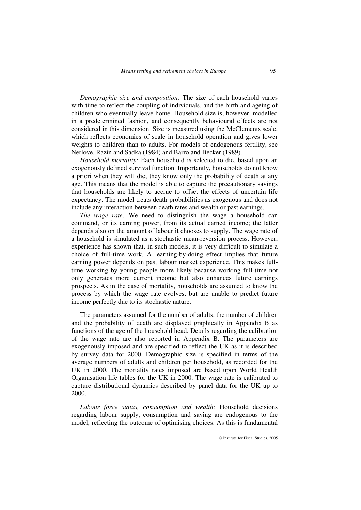*Demographic size and composition:* The size of each household varies with time to reflect the coupling of individuals, and the birth and ageing of children who eventually leave home. Household size is, however, modelled in a predetermined fashion, and consequently behavioural effects are not considered in this dimension. Size is measured using the McClements scale, which reflects economies of scale in household operation and gives lower weights to children than to adults. For models of endogenous fertility, see Nerlove, Razin and Sadka (1984) and Barro and Becker (1989).

*Household mortality:* Each household is selected to die, based upon an exogenously defined survival function. Importantly, households do not know a priori when they will die; they know only the probability of death at any age. This means that the model is able to capture the precautionary savings that households are likely to accrue to offset the effects of uncertain life expectancy. The model treats death probabilities as exogenous and does not include any interaction between death rates and wealth or past earnings.

*The wage rate:* We need to distinguish the wage a household can command, or its earning power, from its actual earned income; the latter depends also on the amount of labour it chooses to supply. The wage rate of a household is simulated as a stochastic mean-reversion process. However, experience has shown that, in such models, it is very difficult to simulate a choice of full-time work. A learning-by-doing effect implies that future earning power depends on past labour market experience. This makes fulltime working by young people more likely because working full-time not only generates more current income but also enhances future earnings prospects. As in the case of mortality, households are assumed to know the process by which the wage rate evolves, but are unable to predict future income perfectly due to its stochastic nature.

The parameters assumed for the number of adults, the number of children and the probability of death are displayed graphically in Appendix B as functions of the age of the household head. Details regarding the calibration of the wage rate are also reported in Appendix B. The parameters are exogenously imposed and are specified to reflect the UK as it is described by survey data for 2000. Demographic size is specified in terms of the average numbers of adults and children per household, as recorded for the UK in 2000. The mortality rates imposed are based upon World Health Organisation life tables for the UK in 2000. The wage rate is calibrated to capture distributional dynamics described by panel data for the UK up to 2000.

*Labour force status, consumption and wealth:* Household decisions regarding labour supply, consumption and saving are endogenous to the model, reflecting the outcome of optimising choices. As this is fundamental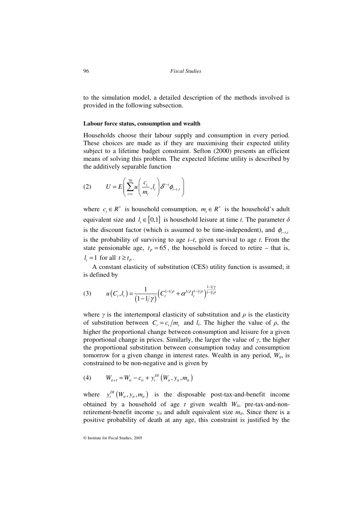to the simulation model, a detailed description of the methods involved is provided in the following subsection.

## **Labour force status, consumption and wealth**

Households choose their labour supply and consumption in every period. These choices are made as if they are maximising their expected utility subject to a lifetime budget constraint. Sefton (2000) presents an efficient means of solving this problem. The expected lifetime utility is described by the additively separable function

$$
(2) \qquad U = E\left(\sum_{i=t}^{70} u\left(\frac{c_i}{m_i}, l_i\right) \delta^{i-t} \phi_{i-t,t}\right)
$$

where  $c_i \in R^+$  is household consumption,  $m_i \in R^+$  is the household's adult equivalent size and  $l_i \in [0,1]$  is household leisure at time *t*. The parameter  $\delta$ is the discount factor (which is assumed to be time-independent), and  $\phi_{i-t}$ is the probability of surviving to age  $i-t$ , given survival to age  $t$ . From the state pensionable age,  $t_p = 65$ , the household is forced to retire – that is,  $l_t = 1$  for all  $t \ge t_p$ .

A constant elasticity of substitution (CES) utility function is assumed; it is defined by

(3) 
$$
u(C_t, l_t) = \frac{1}{(1 - 1/\gamma)} \Big( C_t^{1 - 1/\rho} + \alpha^{1/\rho} l_t^{1 - 1/\rho} \Big)^{\frac{1 - 1/\gamma}{1 - 1/\rho}}
$$

where  $\gamma$  is the intertemporal elasticity of substitution and  $\rho$  is the elasticity of substitution between  $C_i = c_i/m_i$  and  $l_i$ . The higher the value of  $\rho$ , the higher the proportional change between consumption and leisure for a given proportional change in prices. Similarly, the larger the value of *γ*, the higher the proportional substitution between consumption today and consumption tomorrow for a given change in interest rates. Wealth in any period,  $W_{it}$ , is constrained to be non-negative and is given by

(4) 
$$
W_{it+1} = W_{it} - c_{it} + y_t^{DI} (W_{it}, y_{it}, m_{it})
$$

where  $y_t^{DI}(W_{ii}, y_{ii}, m_{ii})$  is the disposable post-tax-and-benefit income obtained by a household of age  $t$  given wealth  $W_{it}$ , pre-tax-and-nonretirement-benefit income  $y_{it}$  and adult equivalent size  $m_{it}$ . Since there is a positive probability of death at any age, this constraint is justified by the

© Institute for Fiscal Studies, 2005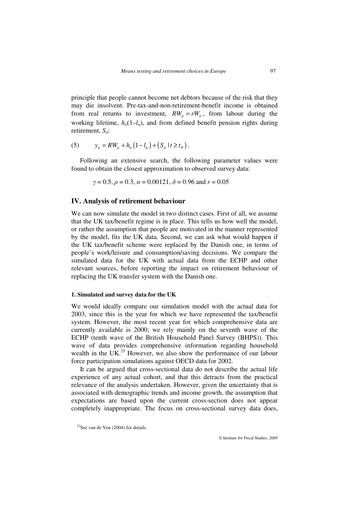principle that people cannot become net debtors because of the risk that they may die insolvent. Pre-tax-and-non-retirement-benefit income is obtained from real returns to investment,  $RW_{ii} = rW_{ii}$ , from labour during the working lifetime,  $h_{it}(1-l_{it})$ , and from defined benefit pension rights during retirement,  $S_{ii}$ :

(5) 
$$
y_{it} = RW_{it} + h_{it} (1 - l_{it}) + (S_{it} \mid t \geq t_P).
$$

Following an extensive search, the following parameter values were found to obtain the closest approximation to observed survey data:

$$
\gamma = 0.5
$$
,  $\rho = 0.3$ ,  $\alpha = 0.00121$ ,  $\delta = 0.96$  and  $r = 0.05$ 

## **IV. Analysis of retirement behaviour**

We can now simulate the model in two distinct cases. First of all, we assume that the UK tax/benefit regime is in place. This tells us how well the model, or rather the assumption that people are motivated in the manner represented by the model, fits the UK data. Second, we can ask what would happen if the UK tax/benefit scheme were replaced by the Danish one, in terms of people's work/leisure and consumption/saving decisions. We compare the simulated data for the UK with actual data from the ECHP and other relevant sources, before reporting the impact on retirement behaviour of replacing the UK transfer system with the Danish one.

#### **1. Simulated and survey data for the UK**

We would ideally compare our simulation model with the actual data for 2003, since this is the year for which we have represented the tax/benefit system. However, the most recent year for which comprehensive data are currently available is 2000; we rely mainly on the seventh wave of the ECHP (tenth wave of the British Household Panel Survey (BHPS)). This wave of data provides comprehensive information regarding household wealth in the UK. $^{23}$  However, we also show the performance of our labour force participation simulations against OECD data for 2002.

It can be argued that cross-sectional data do not describe the actual life experience of any actual cohort, and that this detracts from the practical relevance of the analysis undertaken. However, given the uncertainty that is associated with demographic trends and income growth, the assumption that expectations are based upon the current cross-section does not appear completely inappropriate. The focus on cross-sectional survey data does,

<sup>23</sup>See van de Ven (2004) for details.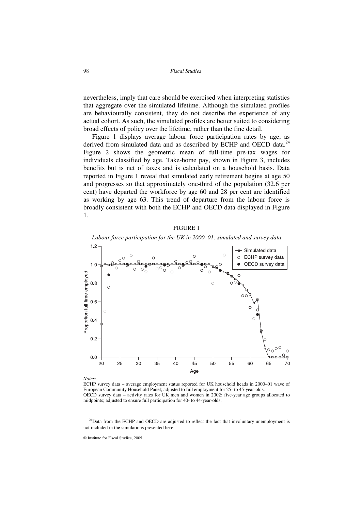nevertheless, imply that care should be exercised when interpreting statistics that aggregate over the simulated lifetime. Although the simulated profiles are behaviourally consistent, they do not describe the experience of any actual cohort. As such, the simulated profiles are better suited to considering broad effects of policy over the lifetime, rather than the fine detail.

Figure 1 displays average labour force participation rates by age, as derived from simulated data and as described by ECHP and OECD data.<sup>24</sup> Figure 2 shows the geometric mean of full-time pre-tax wages for individuals classified by age. Take-home pay, shown in Figure 3, includes benefits but is net of taxes and is calculated on a household basis. Data reported in Figure 1 reveal that simulated early retirement begins at age 50 and progresses so that approximately one-third of the population (32.6 per cent) have departed the workforce by age 60 and 28 per cent are identified as working by age 63. This trend of departure from the labour force is broadly consistent with both the ECHP and OECD data displayed in Figure 1.

#### FIGURE 1

*Labour force participation for the UK in 2000–01: simulated and survey data* 



*Notes:* 

ECHP survey data – average employment status reported for UK household heads in 2000–01 wave of European Community Household Panel; adjusted to full employment for 25- to 45-year-olds. OECD survey data – activity rates for UK men and women in 2002; five-year age groups allocated to midpoints; adjusted to ensure full participation for 40- to 44-year-olds.

<sup>24</sup>Data from the ECHP and OECD are adjusted to reflect the fact that involuntary unemployment is not included in the simulations presented here.

<sup>©</sup> Institute for Fiscal Studies, 2005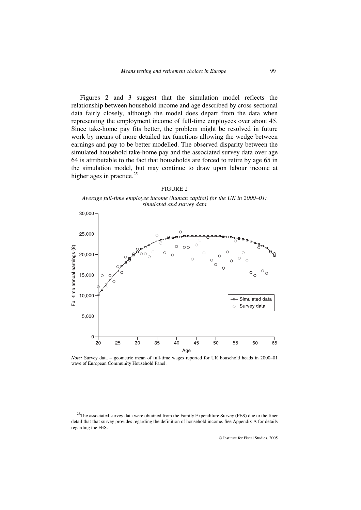Figures 2 and 3 suggest that the simulation model reflects the relationship between household income and age described by cross-sectional data fairly closely, although the model does depart from the data when representing the employment income of full-time employees over about 45. Since take-home pay fits better, the problem might be resolved in future work by means of more detailed tax functions allowing the wedge between earnings and pay to be better modelled. The observed disparity between the simulated household take-home pay and the associated survey data over age 64 is attributable to the fact that households are forced to retire by age 65 in the simulation model, but may continue to draw upon labour income at higher ages in practice. $^{25}$ 

#### FIGURE 2

*Average full-time employee income (human capital) for the UK in 2000–01: simulated and survey data* 



*Note:* Survey data – geometric mean of full-time wages reported for UK household heads in 2000–01 wave of European Community Household Panel.

<sup>25</sup>The associated survey data were obtained from the Family Expenditure Survey (FES) due to the finer detail that that survey provides regarding the definition of household income. See Appendix A for details regarding the FES.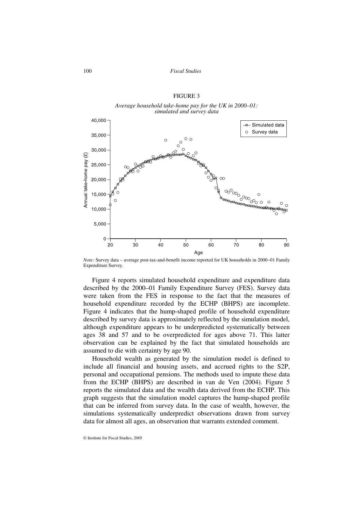

*Average household take-home pay for the UK in 2000–01: simulated and survey data* 

*Note:* Survey data – average post-tax-and-benefit income reported for UK households in 2000–01 Family Expenditure Survey.

Figure 4 reports simulated household expenditure and expenditure data described by the 2000–01 Family Expenditure Survey (FES). Survey data were taken from the FES in response to the fact that the measures of household expenditure recorded by the ECHP (BHPS) are incomplete. Figure 4 indicates that the hump-shaped profile of household expenditure described by survey data is approximately reflected by the simulation model, although expenditure appears to be underpredicted systematically between ages 38 and 57 and to be overpredicted for ages above 71. This latter observation can be explained by the fact that simulated households are assumed to die with certainty by age 90.

Household wealth as generated by the simulation model is defined to include all financial and housing assets, and accrued rights to the S2P, personal and occupational pensions. The methods used to impute these data from the ECHP (BHPS) are described in van de Ven (2004). Figure 5 reports the simulated data and the wealth data derived from the ECHP. This graph suggests that the simulation model captures the hump-shaped profile that can be inferred from survey data. In the case of wealth, however, the simulations systematically underpredict observations drawn from survey data for almost all ages, an observation that warrants extended comment.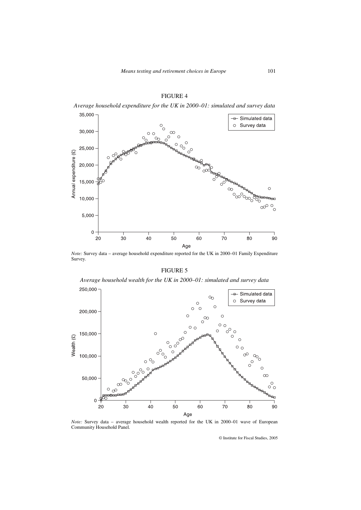#### FIGURE 4

*Average household expenditure for the UK in 2000–01: simulated and survey data* 



*Note:* Survey data – average household expenditure reported for the UK in 2000–01 Family Expenditure Survey.

FIGURE 5

*Average household wealth for the UK in 2000–01: simulated and survey data* 



*Note:* Survey data – average household wealth reported for the UK in 2000–01 wave of European Community Household Panel.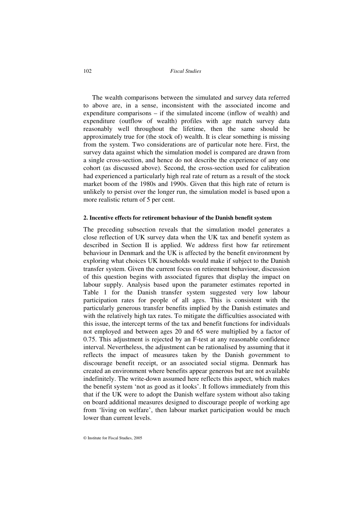The wealth comparisons between the simulated and survey data referred to above are, in a sense, inconsistent with the associated income and expenditure comparisons – if the simulated income (inflow of wealth) and expenditure (outflow of wealth) profiles with age match survey data reasonably well throughout the lifetime, then the same should be approximately true for (the stock of) wealth. It is clear something is missing from the system. Two considerations are of particular note here. First, the survey data against which the simulation model is compared are drawn from a single cross-section, and hence do not describe the experience of any one cohort (as discussed above). Second, the cross-section used for calibration had experienced a particularly high real rate of return as a result of the stock market boom of the 1980s and 1990s. Given that this high rate of return is unlikely to persist over the longer run, the simulation model is based upon a more realistic return of 5 per cent.

## **2. Incentive effects for retirement behaviour of the Danish benefit system**

The preceding subsection reveals that the simulation model generates a close reflection of UK survey data when the UK tax and benefit system as described in Section II is applied. We address first how far retirement behaviour in Denmark and the UK is affected by the benefit environment by exploring what choices UK households would make if subject to the Danish transfer system. Given the current focus on retirement behaviour, discussion of this question begins with associated figures that display the impact on labour supply. Analysis based upon the parameter estimates reported in Table 1 for the Danish transfer system suggested very low labour participation rates for people of all ages. This is consistent with the particularly generous transfer benefits implied by the Danish estimates and with the relatively high tax rates. To mitigate the difficulties associated with this issue, the intercept terms of the tax and benefit functions for individuals not employed and between ages 20 and 65 were multiplied by a factor of 0.75. This adjustment is rejected by an F-test at any reasonable confidence interval. Nevertheless, the adjustment can be rationalised by assuming that it reflects the impact of measures taken by the Danish government to discourage benefit receipt, or an associated social stigma. Denmark has created an environment where benefits appear generous but are not available indefinitely. The write-down assumed here reflects this aspect, which makes the benefit system 'not as good as it looks'. It follows immediately from this that if the UK were to adopt the Danish welfare system without also taking on board additional measures designed to discourage people of working age from 'living on welfare', then labour market participation would be much lower than current levels.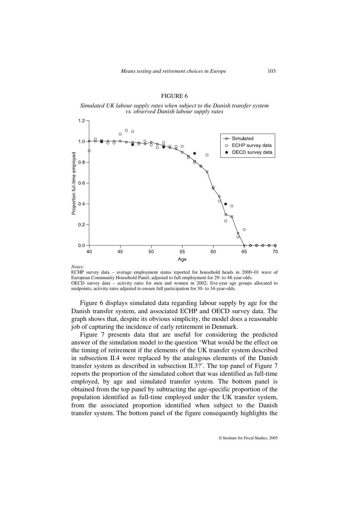#### FIGURE 6

*Simulated UK labour supply rates when subject to the Danish transfer system vs. observed Danish labour supply rates* 



*Notes:* 

ECHP survey data – average employment status reported for household heads in 2000–01 wave of European Community Household Panel; adjusted to full employment for 29- to 48-year-olds. OECD survey data – activity rates for men and women in 2002; five-year age groups allocated to midpoints; activity rates adjusted to ensure full participation for 30- to 34-year-olds.

Figure 6 displays simulated data regarding labour supply by age for the Danish transfer system, and associated ECHP and OECD survey data. The graph shows that, despite its obvious simplicity, the model does a reasonable job of capturing the incidence of early retirement in Denmark.

Figure 7 presents data that are useful for considering the predicted answer of the simulation model to the question 'What would be the effect on the timing of retirement if the elements of the UK transfer system described in subsection II.4 were replaced by the analogous elements of the Danish transfer system as described in subsection II.3?'. The top panel of Figure 7 reports the proportion of the simulated cohort that was identified as full-time employed, by age and simulated transfer system. The bottom panel is obtained from the top panel by subtracting the age-specific proportion of the population identified as full-time employed under the UK transfer system, from the associated proportion identified when subject to the Danish transfer system. The bottom panel of the figure consequently highlights the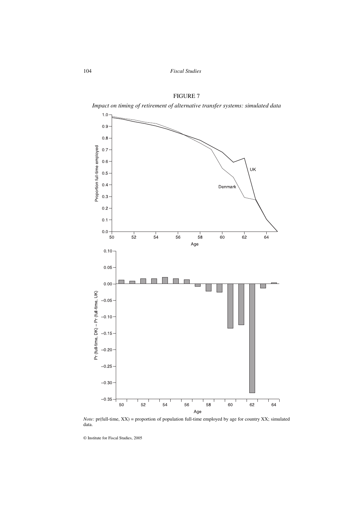

*Impact on timing of retirement of alternative transfer systems: simulated data* 



*Note:* pr(full-time, XX) = proportion of population full-time employed by age for country XX; simulated data.

© Institute for Fiscal Studies, 2005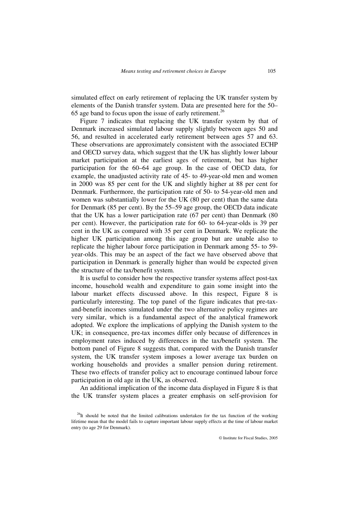simulated effect on early retirement of replacing the UK transfer system by elements of the Danish transfer system. Data are presented here for the 50– 65 age band to focus upon the issue of early retirement.<sup>26</sup>

Figure 7 indicates that replacing the UK transfer system by that of Denmark increased simulated labour supply slightly between ages 50 and 56, and resulted in accelerated early retirement between ages 57 and 63. These observations are approximately consistent with the associated ECHP and OECD survey data, which suggest that the UK has slightly lower labour market participation at the earliest ages of retirement, but has higher participation for the 60–64 age group. In the case of OECD data, for example, the unadjusted activity rate of 45- to 49-year-old men and women in 2000 was 85 per cent for the UK and slightly higher at 88 per cent for Denmark. Furthermore, the participation rate of 50- to 54-year-old men and women was substantially lower for the UK (80 per cent) than the same data for Denmark (85 per cent). By the 55–59 age group, the OECD data indicate that the UK has a lower participation rate (67 per cent) than Denmark (80 per cent). However, the participation rate for 60- to 64-year-olds is 39 per cent in the UK as compared with 35 per cent in Denmark. We replicate the higher UK participation among this age group but are unable also to replicate the higher labour force participation in Denmark among 55- to 59 year-olds. This may be an aspect of the fact we have observed above that participation in Denmark is generally higher than would be expected given the structure of the tax/benefit system.

It is useful to consider how the respective transfer systems affect post-tax income, household wealth and expenditure to gain some insight into the labour market effects discussed above. In this respect, Figure 8 is particularly interesting. The top panel of the figure indicates that pre-taxand-benefit incomes simulated under the two alternative policy regimes are very similar, which is a fundamental aspect of the analytical framework adopted. We explore the implications of applying the Danish system to the UK; in consequence, pre-tax incomes differ only because of differences in employment rates induced by differences in the tax/benefit system. The bottom panel of Figure 8 suggests that, compared with the Danish transfer system, the UK transfer system imposes a lower average tax burden on working households and provides a smaller pension during retirement. These two effects of transfer policy act to encourage continued labour force participation in old age in the UK, as observed.

An additional implication of the income data displayed in Figure 8 is that the UK transfer system places a greater emphasis on self-provision for

 $^{26}$ It should be noted that the limited calibrations undertaken for the tax function of the working lifetime mean that the model fails to capture important labour supply effects at the time of labour market entry (to age 29 for Denmark).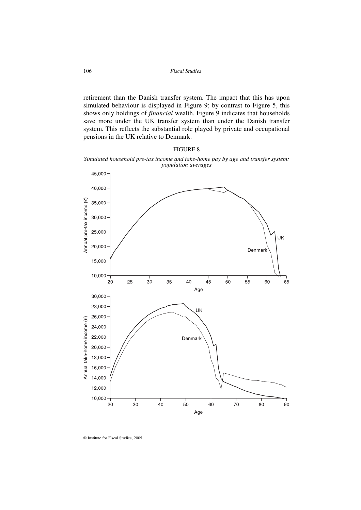retirement than the Danish transfer system. The impact that this has upon simulated behaviour is displayed in Figure 9; by contrast to Figure 5, this shows only holdings of *financial* wealth. Figure 9 indicates that households save more under the UK transfer system than under the Danish transfer system. This reflects the substantial role played by private and occupational pensions in the UK relative to Denmark.

#### FIGURE 8

*Simulated household pre-tax income and take-home pay by age and transfer system: population averages* 



© Institute for Fiscal Studies, 2005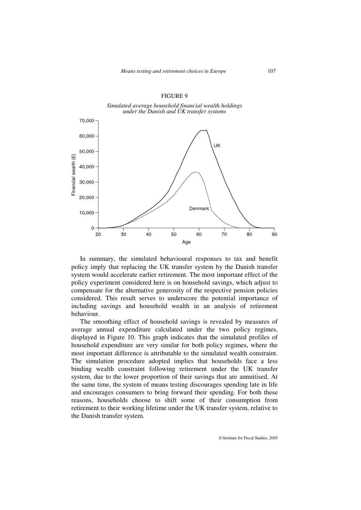

FIGURE 9 *Simulated average household financial wealth holdings under the Danish and UK transfer systems* 

In summary, the simulated behavioural responses to tax and benefit policy imply that replacing the UK transfer system by the Danish transfer system would accelerate earlier retirement. The most important effect of the policy experiment considered here is on household savings, which adjust to compensate for the alternative generosity of the respective pension policies considered. This result serves to underscore the potential importance of including savings and household wealth in an analysis of retirement behaviour.

The smoothing effect of household savings is revealed by measures of average annual expenditure calculated under the two policy regimes, displayed in Figure 10. This graph indicates that the simulated profiles of household expenditure are very similar for both policy regimes, where the most important difference is attributable to the simulated wealth constraint. The simulation procedure adopted implies that households face a less binding wealth constraint following retirement under the UK transfer system, due to the lower proportion of their savings that are annuitised. At the same time, the system of means testing discourages spending late in life and encourages consumers to bring forward their spending. For both these reasons, households choose to shift some of their consumption from retirement to their working lifetime under the UK transfer system, relative to the Danish transfer system.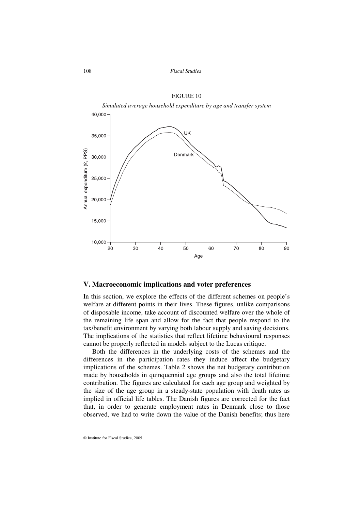



## **V. Macroeconomic implications and voter preferences**

In this section, we explore the effects of the different schemes on people's welfare at different points in their lives. These figures, unlike comparisons of disposable income, take account of discounted welfare over the whole of the remaining life span and allow for the fact that people respond to the tax/benefit environment by varying both labour supply and saving decisions. The implications of the statistics that reflect lifetime behavioural responses cannot be properly reflected in models subject to the Lucas critique.

Both the differences in the underlying costs of the schemes and the differences in the participation rates they induce affect the budgetary implications of the schemes. Table 2 shows the net budgetary contribution made by households in quinquennial age groups and also the total lifetime contribution. The figures are calculated for each age group and weighted by the size of the age group in a steady-state population with death rates as implied in official life tables. The Danish figures are corrected for the fact that, in order to generate employment rates in Denmark close to those observed, we had to write down the value of the Danish benefits; thus here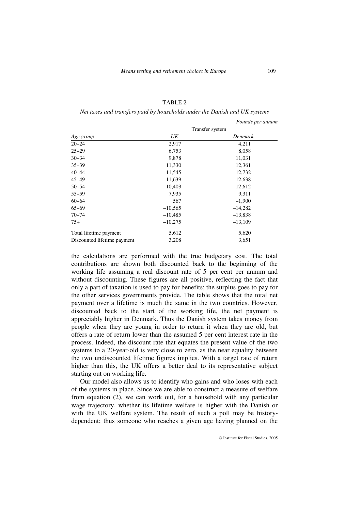|                             |           | I vanus per annum |
|-----------------------------|-----------|-------------------|
|                             |           | Transfer system   |
| Age group                   | UK        | Denmark           |
| $20 - 24$                   | 2,917     | 4,211             |
| $25 - 29$                   | 6,753     | 8,058             |
| $30 - 34$                   | 9,878     | 11,031            |
| $35 - 39$                   | 11,330    | 12,361            |
| $40 - 44$                   | 11,545    | 12,732            |
| $45 - 49$                   | 11,639    | 12,638            |
| $50 - 54$                   | 10,403    | 12,612            |
| $55 - 59$                   | 7,935     | 9,311             |
| $60 - 64$                   | 567       | $-1,900$          |
| $65 - 69$                   | $-10,565$ | $-14,282$         |
| $70 - 74$                   | $-10,485$ | $-13,838$         |
| $75+$                       | $-10,275$ | $-13,109$         |
| Total lifetime payment      | 5,612     | 5,620             |
| Discounted lifetime payment | 3,208     | 3,651             |

TABLE 2

*Net taxes and transfers paid by households under the Danish and UK systems* 

*Pounds per annum* 

the calculations are performed with the true budgetary cost. The total contributions are shown both discounted back to the beginning of the working life assuming a real discount rate of 5 per cent per annum and without discounting. These figures are all positive, reflecting the fact that only a part of taxation is used to pay for benefits; the surplus goes to pay for the other services governments provide. The table shows that the total net payment over a lifetime is much the same in the two countries. However, discounted back to the start of the working life, the net payment is appreciably higher in Denmark. Thus the Danish system takes money from people when they are young in order to return it when they are old, but offers a rate of return lower than the assumed 5 per cent interest rate in the process. Indeed, the discount rate that equates the present value of the two systems to a 20-year-old is very close to zero, as the near equality between the two undiscounted lifetime figures implies. With a target rate of return higher than this, the UK offers a better deal to its representative subject starting out on working life.

Our model also allows us to identify who gains and who loses with each of the systems in place. Since we are able to construct a measure of welfare from equation (2), we can work out, for a household with any particular wage trajectory, whether its lifetime welfare is higher with the Danish or with the UK welfare system. The result of such a poll may be historydependent; thus someone who reaches a given age having planned on the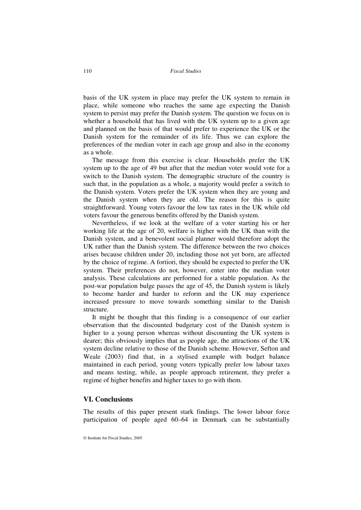basis of the UK system in place may prefer the UK system to remain in place, while someone who reaches the same age expecting the Danish system to persist may prefer the Danish system. The question we focus on is whether a household that has lived with the UK system up to a given age and planned on the basis of that would prefer to experience the UK or the Danish system for the remainder of its life. Thus we can explore the preferences of the median voter in each age group and also in the economy as a whole.

The message from this exercise is clear. Households prefer the UK system up to the age of 49 but after that the median voter would vote for a switch to the Danish system. The demographic structure of the country is such that, in the population as a whole, a majority would prefer a switch to the Danish system. Voters prefer the UK system when they are young and the Danish system when they are old. The reason for this is quite straightforward. Young voters favour the low tax rates in the UK while old voters favour the generous benefits offered by the Danish system.

Nevertheless, if we look at the welfare of a voter starting his or her working life at the age of 20, welfare is higher with the UK than with the Danish system, and a benevolent social planner would therefore adopt the UK rather than the Danish system. The difference between the two choices arises because children under 20, including those not yet born, are affected by the choice of regime. A fortiori, they should be expected to prefer the UK system. Their preferences do not, however, enter into the median voter analysis. These calculations are performed for a stable population. As the post-war population bulge passes the age of 45, the Danish system is likely to become harder and harder to reform and the UK may experience increased pressure to move towards something similar to the Danish structure.

It might be thought that this finding is a consequence of our earlier observation that the discounted budgetary cost of the Danish system is higher to a young person whereas without discounting the UK system is dearer; this obviously implies that as people age, the attractions of the UK system decline relative to those of the Danish scheme. However, Sefton and Weale (2003) find that, in a stylised example with budget balance maintained in each period, young voters typically prefer low labour taxes and means testing, while, as people approach retirement, they prefer a regime of higher benefits and higher taxes to go with them.

# **VI. Conclusions**

The results of this paper present stark findings. The lower labour force participation of people aged 60–64 in Denmark can be substantially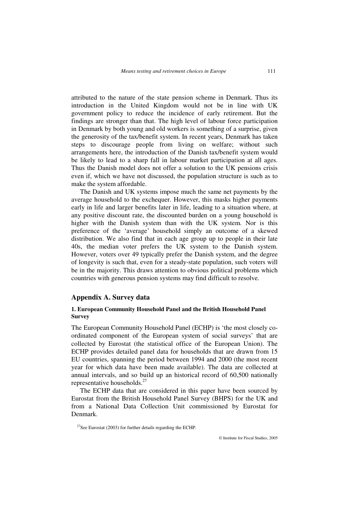attributed to the nature of the state pension scheme in Denmark. Thus its introduction in the United Kingdom would not be in line with UK government policy to reduce the incidence of early retirement. But the findings are stronger than that. The high level of labour force participation in Denmark by both young and old workers is something of a surprise, given the generosity of the tax/benefit system. In recent years, Denmark has taken steps to discourage people from living on welfare; without such arrangements here, the introduction of the Danish tax/benefit system would be likely to lead to a sharp fall in labour market participation at all ages. Thus the Danish model does not offer a solution to the UK pensions crisis even if, which we have not discussed, the population structure is such as to make the system affordable.

The Danish and UK systems impose much the same net payments by the average household to the exchequer. However, this masks higher payments early in life and larger benefits later in life, leading to a situation where, at any positive discount rate, the discounted burden on a young household is higher with the Danish system than with the UK system. Nor is this preference of the 'average' household simply an outcome of a skewed distribution. We also find that in each age group up to people in their late 40s, the median voter prefers the UK system to the Danish system. However, voters over 49 typically prefer the Danish system, and the degree of longevity is such that, even for a steady-state population, such voters will be in the majority. This draws attention to obvious political problems which countries with generous pension systems may find difficult to resolve.

# **Appendix A. Survey data**

## **1. European Community Household Panel and the British Household Panel Survey**

The European Community Household Panel (ECHP) is 'the most closely coordinated component of the European system of social surveys' that are collected by Eurostat (the statistical office of the European Union). The ECHP provides detailed panel data for households that are drawn from 15 EU countries, spanning the period between 1994 and 2000 (the most recent year for which data have been made available). The data are collected at annual intervals, and so build up an historical record of 60,500 nationally representative households.27

The ECHP data that are considered in this paper have been sourced by Eurostat from the British Household Panel Survey (BHPS) for the UK and from a National Data Collection Unit commissioned by Eurostat for Denmark.

<sup>&</sup>lt;sup>27</sup>See Eurostat (2003) for further details regarding the ECHP.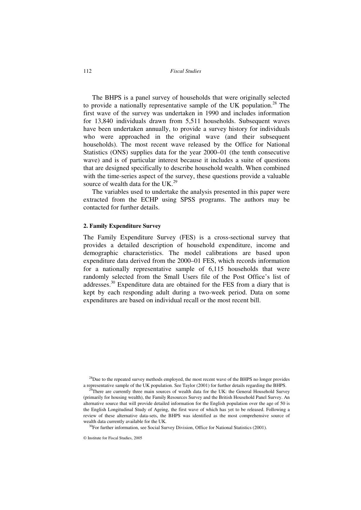The BHPS is a panel survey of households that were originally selected to provide a nationally representative sample of the UK population.<sup>28</sup> The first wave of the survey was undertaken in 1990 and includes information for 13,840 individuals drawn from 5,511 households. Subsequent waves have been undertaken annually, to provide a survey history for individuals who were approached in the original wave (and their subsequent households). The most recent wave released by the Office for National Statistics (ONS) supplies data for the year 2000–01 (the tenth consecutive wave) and is of particular interest because it includes a suite of questions that are designed specifically to describe household wealth. When combined with the time-series aspect of the survey, these questions provide a valuable source of wealth data for the UK. $^{29}$ 

The variables used to undertake the analysis presented in this paper were extracted from the ECHP using SPSS programs. The authors may be contacted for further details.

#### **2. Family Expenditure Survey**

The Family Expenditure Survey (FES) is a cross-sectional survey that provides a detailed description of household expenditure, income and demographic characteristics. The model calibrations are based upon expenditure data derived from the 2000–01 FES, which records information for a nationally representative sample of 6,115 households that were randomly selected from the Small Users file of the Post Office's list of addresses.30 Expenditure data are obtained for the FES from a diary that is kept by each responding adult during a two-week period. Data on some expenditures are based on individual recall or the most recent bill.

<sup>28</sup>Due to the repeated survey methods employed, the most recent wave of the BHPS no longer provides a representative sample of the UK population. See Taylor (2001) for further details regarding the BHPS. <sup>29</sup>There are currently three main sources of wealth data for the UK: the General Household Survey

(primarily for housing wealth), the Family Resources Survey and the British Household Panel Survey. An alternative source that will provide detailed information for the English population over the age of 50 is the English Longitudinal Study of Ageing, the first wave of which has yet to be released. Following a review of these alternative data-sets, the BHPS was identified as the most comprehensive source of wealth data currently available for the UK.<br><sup>30</sup>For further information, see Social Survey Division, Office for National Statistics (2001).

<sup>©</sup> Institute for Fiscal Studies, 2005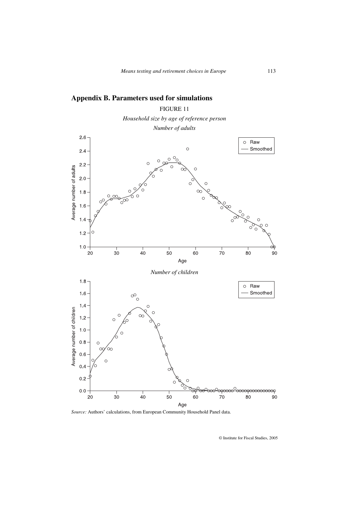

**Appendix B. Parameters used for simulations** 

*Source:* Authors' calculations, from European Community Household Panel data.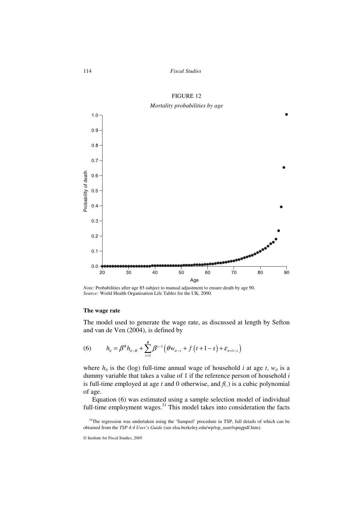



*Note:* Probabilities after age 85 subject to manual adjustment to ensure death by age 90. *Source:* World Health Organisation Life Tables for the UK, 2000.

#### **The wage rate**

The model used to generate the wage rate, as discussed at length by Sefton and van de Ven (2004), is defined by

(6) 
$$
h_{it} = \beta^R h_{it-R} + \sum_{s=1}^R \beta^{s-1} \left( \theta w_{it-s} + f(t+1-s) + \varepsilon_{it+1-s} \right)
$$

where  $h_{it}$  is the (log) full-time annual wage of household *i* at age *t*,  $w_{it}$  is a dummy variable that takes a value of 1 if the reference person of household *i* is full-time employed at age *t* and 0 otherwise, and *f*(.) is a cubic polynomial of age.

Equation (6) was estimated using a sample selection model of individual full-time employment wages.<sup>31</sup> This model takes into consideration the facts

<sup>&</sup>lt;sup>31</sup>The regression was undertaken using the 'Sampsel' procedure in TSP, full details of which can be obtained from the *TSP 4.4 User's Guide* (see elsa.berkeley.edu/wp/tsp\_user/tspugpdf.htm).

<sup>©</sup> Institute for Fiscal Studies, 2005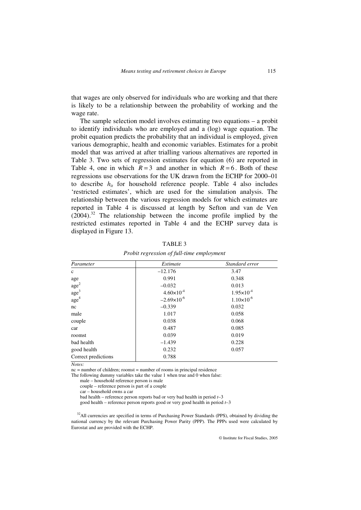that wages are only observed for individuals who are working and that there is likely to be a relationship between the probability of working and the wage rate.

The sample selection model involves estimating two equations – a probit to identify individuals who are employed and a (log) wage equation. The probit equation predicts the probability that an individual is employed, given various demographic, health and economic variables. Estimates for a probit model that was arrived at after trialling various alternatives are reported in Table 3. Two sets of regression estimates for equation (6) are reported in Table 4, one in which  $R = 3$  and another in which  $R = 6$ . Both of these regressions use observations for the UK drawn from the ECHP for 2000–01 to describe  $h_{it}$  for household reference people. Table 4 also includes 'restricted estimates', which are used for the simulation analysis. The relationship between the various regression models for which estimates are reported in Table 4 is discussed at length by Sefton and van de Ven  $(2004)$ .<sup>32</sup> The relationship between the income profile implied by the restricted estimates reported in Table 4 and the ECHP survey data is displayed in Figure 13.

| Parameter           | Estimate               | Standard error        |  |
|---------------------|------------------------|-----------------------|--|
| $\mathbf{C}$        | $-12.176$              | 3.47                  |  |
| age                 | 0.991                  | 0.348                 |  |
| $\text{age}^2$      | $-0.032$               | 0.013                 |  |
| age <sup>3</sup>    | $4.60 \times 10^{-4}$  | $1.95 \times 10^{-4}$ |  |
| age <sup>4</sup>    | $-2.69 \times 10^{-6}$ | $1.10\times10^{-6}$   |  |
| nc                  | $-0.339$               | 0.032                 |  |
| male                | 1.017                  | 0.058                 |  |
| couple              | 0.038                  | 0.068                 |  |
| car                 | 0.487                  | 0.085                 |  |
| roomst              | 0.039                  | 0.019                 |  |
| bad health          | $-1.439$               | 0.228                 |  |
| good health         | 0.232                  | 0.057                 |  |
| Correct predictions | 0.788                  |                       |  |

TABLE 3

*Notes:* 

nc = number of children; roomst = number of rooms in principal residence

The following dummy variables take the value 1 when true and 0 when false:

male – household reference person is male

couple – reference person is part of a couple

car – household owns a car

bad health – reference person reports bad or very bad health in period *t*–3

good health – reference person reports good or very good health in period *t*–3

<sup>32</sup>All currencies are specified in terms of Purchasing Power Standards (PPS), obtained by dividing the national currency by the relevant Purchasing Power Parity (PPP). The PPPs used were calculated by Eurostat and are provided with the ECHP.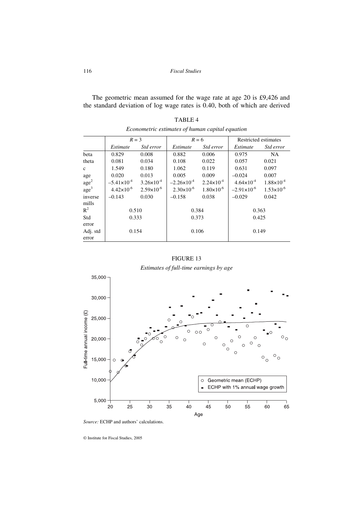The geometric mean assumed for the wage rate at age 20 is £9,426 and the standard deviation of log wage rates is 0.40, both of which are derived

## TABLE 4

|                   | $R = 3$                |                       | $R = 6$                |                       | Restricted estimates   |                       |
|-------------------|------------------------|-----------------------|------------------------|-----------------------|------------------------|-----------------------|
|                   | Estimate               | Std error             | Estimate               | <i>Std error</i>      | Estimate               | Std error             |
| beta              | 0.829                  | 0.008                 | 0.882                  | 0.006                 | 0.975                  | <b>NA</b>             |
| theta             | 0.081                  | 0.034                 | 0.108                  | 0.022                 | 0.057                  | 0.021                 |
| $\mathbf{c}$      | 1.549                  | 0.180                 | 1.062                  | 0.119                 | 0.631                  | 0.097                 |
| age               | 0.020                  | 0.013                 | 0.005                  | 0.009                 | $-0.024$               | 0.007                 |
| age <sup>2</sup>  | $-5.41 \times 10^{-4}$ | $3.26 \times 10^{-4}$ | $-2.26 \times 10^{-4}$ | $2.24 \times 10^{-4}$ | $4.64 \times 10^{-4}$  | $1.88\times10^{-4}$   |
| $\text{age}^3$    | $4.42\times10^{-6}$    | $2.59 \times 10^{-6}$ | $2.30 \times 10^{-6}$  | $1.80\times10^{-6}$   | $-2.91 \times 10^{-6}$ | $1.53 \times 10^{-6}$ |
| inverse<br>mills  | $-0.143$               | 0.030                 | $-0.158$               | 0.038                 | $-0.029$               | 0.042                 |
| $R^2$             | 0.510                  |                       | 0.384                  |                       | 0.363                  |                       |
| Std               | 0.333                  |                       | 0.373                  |                       | 0.425                  |                       |
| error             |                        |                       |                        |                       |                        |                       |
| Adj. std<br>error | 0.154                  |                       | 0.106                  |                       | 0.149                  |                       |

## *Econometric estimates of human capital equation*

FIGURE 13

*Estimates of full-time earnings by age* 



*Source:* ECHP and authors' calculations.

<sup>©</sup> Institute for Fiscal Studies, 2005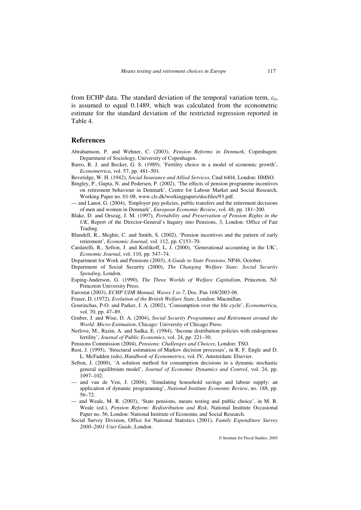from ECHP data. The standard deviation of the temporal variation term, *εit*, is assumed to equal 0.1489, which was calculated from the econometric estimate for the standard deviation of the restricted regression reported in Table 4.

## **References**

- Abrahamson, P. and Wehner, C. (2003), *Pension Reforms in Denmark*, Copenhagen: Department of Sociology, University of Copenhagen.
- Barro, R. J. and Becker, G. S. (1989), 'Fertility choice in a model of economic growth', *Econometrica*, vol. 57, pp. 481–501.
- Beveridge, W. H. (1942), *Social Insurance and Allied Services*, Cmd 6404, London: HMSO.
- Bingley, P., Gupta, N. and Pedersen, P. (2002), 'The effects of pension programme incentives on retirement behaviour in Denmark', Centre for Labour Market and Social Research, Working Paper no. 01-08, www.cls.dk/workingpapers/docfiles/93.pdf.
- and Lanot, G. (2004), 'Employer pay policies, public transfers and the retirement decisions of men and women in Denmark', *European Economic Review*, vol. 48, pp. 181–200.
- Blake, D. and Orszag, J. M. (1997), *Portability and Preservation of Pension Rights in the UK*, Report of the Director-General's Inquiry into Pensions, 3, London: Office of Fair Trading.
- Blundell, R., Meghir, C. and Smith, S. (2002), 'Pension incentives and the pattern of early retirement', *Economic Journal*, vol. 112, pp. C153–70.
- Cardarelli, R., Sefton, J. and Kotlikoff, L. J. (2000), 'Generational accounting in the UK', *Economic Journal*, vol. 110, pp. 547–74.
- Department for Work and Pensions (2003), *A Guide to State Pensions*, NP46, October.
- Department of Social Security (2000), *The Changing Welfare State: Social Security Spending*, London.
- Esping-Anderson, G. (1990), *The Three Worlds of Welfare Capitalism*, Princeton, NJ: Princeton University Press.
- Eurostat (2003), *ECHP UDB Manual, Waves 1 to 7*, Doc. Pan 168/2003-06.
- Fraser, D. (1972), *Evolution of the British Welfare State*, London: Macmillan.
- Gourinchas, P-O. and Parker, J. A. (2002), 'Consumption over the life cycle', *Econometrica*, vol. 70, pp. 47–89.
- Gruber, J. and Wise, D. A. (2004), *Social Security Programmes and Retirement around the World: Micro-Estimation*, Chicago: University of Chicago Press.
- Nerlove, M., Razin, A. and Sadka, E. (1984), 'Income distribution policies with endogenous fertility', *Journal of Public Economics*, vol. 24, pp. 221–30.
- Pensions Commission (2004), *Pensions: Challenges and Choices*, London: TSO.
- Rust, J. (1995), 'Structural estimation of Markov decision processes', in R. F. Engle and D. L. McFadden (eds), *Handbook of Econometrics*, vol. IV, Amsterdam: Elsevier.
- Sefton, J. (2000), 'A solution method for consumption decisions in a dynamic stochastic general equilibrium model', *Journal of Economic Dynamics and Control*, vol. 24, pp. 1097–102.
- and van de Ven, J. (2004), 'Simulating household savings and labour supply: an application of dynamic programming', *National Institute Economic Review*, no. 188, pp. 56–72.
- and Weale, M. R. (2003), 'State pensions, means testing and public choice', in M. R. Weale (ed.), *Pension Reform: Redistribution and Risk*, National Institute Occasional Paper no. 56, London: National Institute of Economic and Social Research.
- Social Survey Division, Office for National Statistics (2001), *Family Expenditure Survey 2000–2001 User Guide*, London.